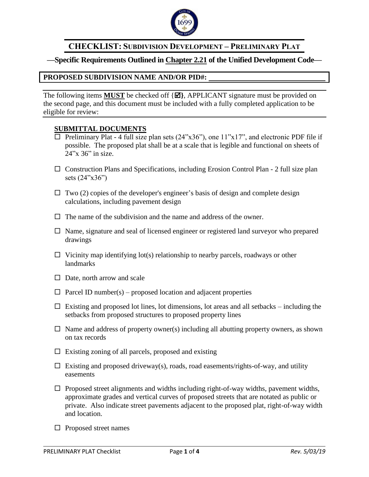

# **CHECKLIST: SUBDIVISION DEVELOPMENT – PRELIMINARY PLAT**

# **—Specific Requirements Outlined in Chapter 2.21 of the Unified Development Code—**

# **PROPOSED SUBDIVISION NAME AND/OR PID#:**

The following items **MUST** be checked off  $\{\Xi\}$ , APPLICANT signature must be provided on the second page, and this document must be included with a fully completed application to be eligible for review:

# **SUBMITTAL DOCUMENTS**

- $\Box$  Preliminary Plat 4 full size plan sets (24"x36"), one 11"x17", and electronic PDF file if possible. The proposed plat shall be at a scale that is legible and functional on sheets of 24"x 36" in size.
- $\Box$  Construction Plans and Specifications, including Erosion Control Plan 2 full size plan sets (24"x36")
- $\Box$  Two (2) copies of the developer's engineer's basis of design and complete design calculations, including pavement design
- $\Box$  The name of the subdivision and the name and address of the owner.
- $\Box$  Name, signature and seal of licensed engineer or registered land surveyor who prepared drawings
- $\Box$  Vicinity map identifying lot(s) relationship to nearby parcels, roadways or other landmarks
- $\Box$  Date, north arrow and scale
- $\Box$  Parcel ID number(s) proposed location and adjacent properties
- $\Box$  Existing and proposed lot lines, lot dimensions, lot areas and all setbacks including the setbacks from proposed structures to proposed property lines
- $\Box$  Name and address of property owner(s) including all abutting property owners, as shown on tax records
- $\Box$  Existing zoning of all parcels, proposed and existing
- $\Box$  Existing and proposed driveway(s), roads, road easements/rights-of-way, and utility easements
- $\Box$  Proposed street alignments and widths including right-of-way widths, pavement widths, approximate grades and vertical curves of proposed streets that are notated as public or private. Also indicate street pavements adjacent to the proposed plat, right-of-way width and location.
- $\square$  Proposed street names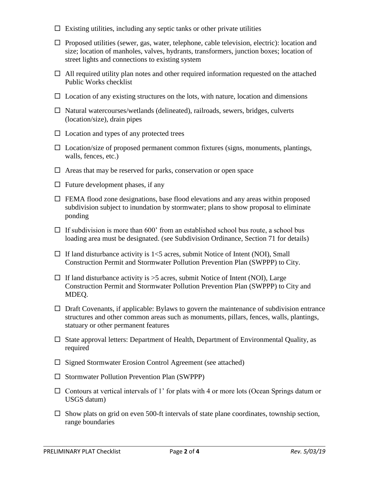- $\Box$  Existing utilities, including any septic tanks or other private utilities
- $\Box$  Proposed utilities (sewer, gas, water, telephone, cable television, electric): location and size; location of manholes, valves, hydrants, transformers, junction boxes; location of street lights and connections to existing system
- $\Box$  All required utility plan notes and other required information requested on the attached Public Works checklist
- $\Box$  Location of any existing structures on the lots, with nature, location and dimensions
- $\Box$  Natural watercourses/wetlands (delineated), railroads, sewers, bridges, culverts (location/size), drain pipes
- $\Box$  Location and types of any protected trees
- $\square$  Location/size of proposed permanent common fixtures (signs, monuments, plantings, walls, fences, etc.)
- $\Box$  Areas that may be reserved for parks, conservation or open space
- $\Box$  Future development phases, if any
- $\Box$  FEMA flood zone designations, base flood elevations and any areas within proposed subdivision subject to inundation by stormwater; plans to show proposal to eliminate ponding
- $\Box$  If subdivision is more than 600' from an established school bus route, a school bus loading area must be designated. (see Subdivision Ordinance, Section 71 for details)
- $\Box$  If land disturbance activity is 1<5 acres, submit Notice of Intent (NOI), Small Construction Permit and Stormwater Pollution Prevention Plan (SWPPP) to City.
- $\Box$  If land disturbance activity is  $>5$  acres, submit Notice of Intent (NOI), Large Construction Permit and Stormwater Pollution Prevention Plan (SWPPP) to City and MDEQ.
- $\Box$  Draft Covenants, if applicable: Bylaws to govern the maintenance of subdivision entrance structures and other common areas such as monuments, pillars, fences, walls, plantings, statuary or other permanent features
- $\square$  State approval letters: Department of Health, Department of Environmental Quality, as required
- $\square$  Signed Stormwater Erosion Control Agreement (see attached)
- $\square$  Stormwater Pollution Prevention Plan (SWPPP)
- $\Box$  Contours at vertical intervals of 1' for plats with 4 or more lots (Ocean Springs datum or USGS datum)
- $\square$  Show plats on grid on even 500-ft intervals of state plane coordinates, township section, range boundaries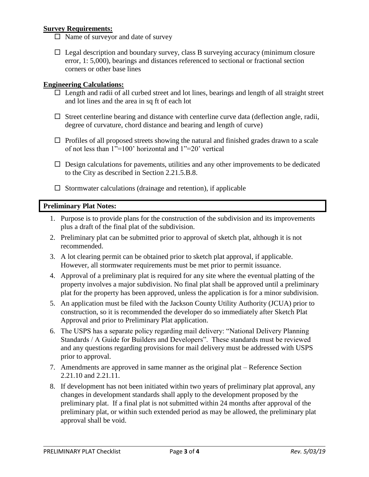# **Survey Requirements:**

- $\Box$  Name of surveyor and date of survey
- $\Box$  Legal description and boundary survey, class B surveying accuracy (minimum closure error, 1: 5,000), bearings and distances referenced to sectional or fractional section corners or other base lines

# **Engineering Calculations:**

- $\Box$  Length and radii of all curbed street and lot lines, bearings and length of all straight street and lot lines and the area in sq ft of each lot
- $\Box$  Street centerline bearing and distance with centerline curve data (deflection angle, radii, degree of curvature, chord distance and bearing and length of curve)
- $\Box$  Profiles of all proposed streets showing the natural and finished grades drawn to a scale of not less than 1"=100' horizontal and 1"=20' vertical
- $\Box$  Design calculations for pavements, utilities and any other improvements to be dedicated to the City as described in Section 2.21.5.B.8.
- $\square$  Stormwater calculations (drainage and retention), if applicable

# **Preliminary Plat Notes:**

- 1. Purpose is to provide plans for the construction of the subdivision and its improvements plus a draft of the final plat of the subdivision.
- 2. Preliminary plat can be submitted prior to approval of sketch plat, although it is not recommended.
- 3. A lot clearing permit can be obtained prior to sketch plat approval, if applicable. However, all stormwater requirements must be met prior to permit issuance.
- 4. Approval of a preliminary plat is required for any site where the eventual platting of the property involves a major subdivision. No final plat shall be approved until a preliminary plat for the property has been approved, unless the application is for a minor subdivision.
- 5. An application must be filed with the Jackson County Utility Authority (JCUA) prior to construction, so it is recommended the developer do so immediately after Sketch Plat Approval and prior to Preliminary Plat application.
- 6. The USPS has a separate policy regarding mail delivery: "National Delivery Planning Standards / A Guide for Builders and Developers". These standards must be reviewed and any questions regarding provisions for mail delivery must be addressed with USPS prior to approval.
- 7. Amendments are approved in same manner as the original plat Reference Section 2.21.10 and 2.21.11.
- 8. If development has not been initiated within two years of preliminary plat approval, any changes in development standards shall apply to the development proposed by the preliminary plat. If a final plat is not submitted within 24 months after approval of the preliminary plat, or within such extended period as may be allowed, the preliminary plat approval shall be void.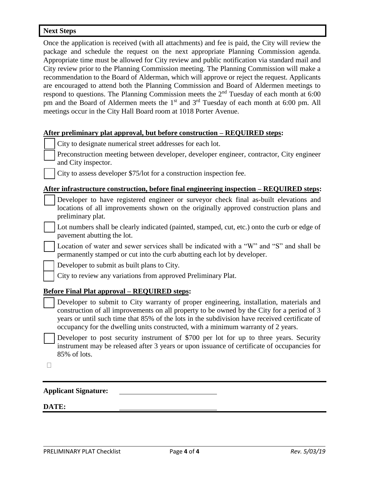#### **Next Steps**

Once the application is received (with all attachments) and fee is paid, the City will review the package and schedule the request on the next appropriate Planning Commission agenda. Appropriate time must be allowed for City review and public notification via standard mail and City review prior to the Planning Commission meeting. The Planning Commission will make a recommendation to the Board of Alderman, which will approve or reject the request. Applicants are encouraged to attend both the Planning Commission and Board of Aldermen meetings to respond to questions. The Planning Commission meets the  $2<sup>nd</sup>$  Tuesday of each month at 6:00 pm and the Board of Aldermen meets the 1<sup>st</sup> and 3<sup>rd</sup> Tuesday of each month at 6:00 pm. All meetings occur in the City Hall Board room at 1018 Porter Avenue.

#### **After preliminary plat approval, but before construction – REQUIRED steps:**

| prenumary plat approval, but before construction arrival steps.                                                                                                                                                                                                                                                                                                             |
|-----------------------------------------------------------------------------------------------------------------------------------------------------------------------------------------------------------------------------------------------------------------------------------------------------------------------------------------------------------------------------|
| City to designate numerical street addresses for each lot.                                                                                                                                                                                                                                                                                                                  |
| Preconstruction meeting between developer, developer engineer, contractor, City engineer<br>and City inspector.                                                                                                                                                                                                                                                             |
| City to assess developer \$75/lot for a construction inspection fee.                                                                                                                                                                                                                                                                                                        |
| After infrastructure construction, before final engineering inspection – REQUIRED steps:                                                                                                                                                                                                                                                                                    |
| Developer to have registered engineer or surveyor check final as-built elevations and<br>locations of all improvements shown on the originally approved construction plans and<br>preliminary plat.                                                                                                                                                                         |
| Lot numbers shall be clearly indicated (painted, stamped, cut, etc.) onto the curb or edge of<br>pavement abutting the lot.                                                                                                                                                                                                                                                 |
| Location of water and sewer services shall be indicated with a "W" and "S" and shall be<br>permanently stamped or cut into the curb abutting each lot by developer.                                                                                                                                                                                                         |
| Developer to submit as built plans to City.                                                                                                                                                                                                                                                                                                                                 |
| City to review any variations from approved Preliminary Plat.                                                                                                                                                                                                                                                                                                               |
| <b>Before Final Plat approval – REQUIRED steps:</b>                                                                                                                                                                                                                                                                                                                         |
| Developer to submit to City warranty of proper engineering, installation, materials and<br>construction of all improvements on all property to be owned by the City for a period of 3<br>years or until such time that 85% of the lots in the subdivision have received certificate of<br>occupancy for the dwelling units constructed, with a minimum warranty of 2 years. |
| Developer to post security instrument of \$700 per lot for up to three years. Security<br>instrument may be released after 3 years or upon issuance of certificate of occupancies for<br>85% of lots.                                                                                                                                                                       |
|                                                                                                                                                                                                                                                                                                                                                                             |
| <b>Applicant Signature:</b>                                                                                                                                                                                                                                                                                                                                                 |

### **DATE:**